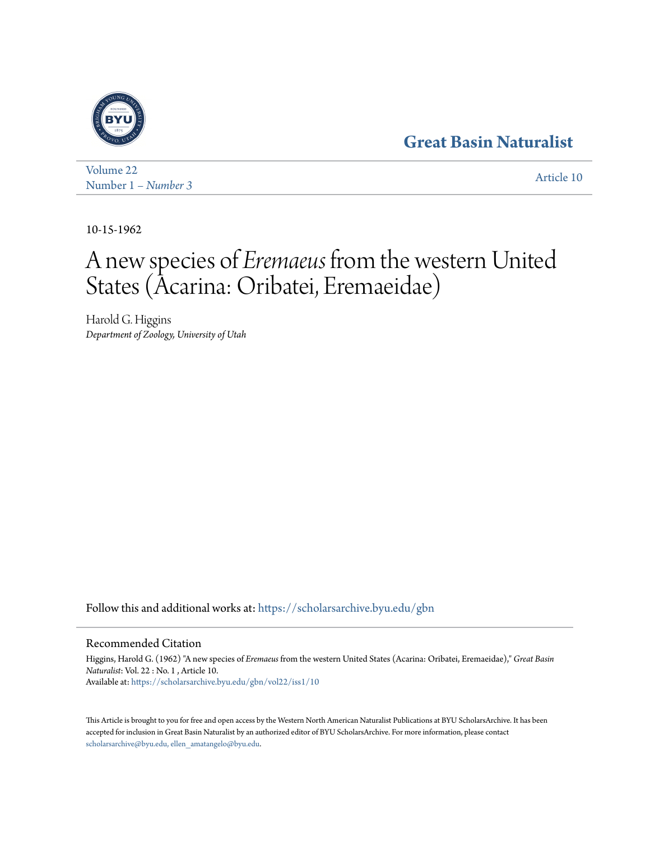# **[Great Basin Naturalist](https://scholarsarchive.byu.edu/gbn?utm_source=scholarsarchive.byu.edu%2Fgbn%2Fvol22%2Fiss1%2F10&utm_medium=PDF&utm_campaign=PDFCoverPages)**



[Volume 22](https://scholarsarchive.byu.edu/gbn/vol22?utm_source=scholarsarchive.byu.edu%2Fgbn%2Fvol22%2Fiss1%2F10&utm_medium=PDF&utm_campaign=PDFCoverPages) Number 1 *[– Number 3](https://scholarsarchive.byu.edu/gbn/vol22/iss1?utm_source=scholarsarchive.byu.edu%2Fgbn%2Fvol22%2Fiss1%2F10&utm_medium=PDF&utm_campaign=PDFCoverPages)* [Article 10](https://scholarsarchive.byu.edu/gbn/vol22/iss1/10?utm_source=scholarsarchive.byu.edu%2Fgbn%2Fvol22%2Fiss1%2F10&utm_medium=PDF&utm_campaign=PDFCoverPages)

10-15-1962

# A new species of *Eremaeus* from the western United States (Acarina: Oribatei, Eremaeidae)

Harold G. Higgins *Department of Zoology, University of Utah*

Follow this and additional works at: [https://scholarsarchive.byu.edu/gbn](https://scholarsarchive.byu.edu/gbn?utm_source=scholarsarchive.byu.edu%2Fgbn%2Fvol22%2Fiss1%2F10&utm_medium=PDF&utm_campaign=PDFCoverPages)

## Recommended Citation

Higgins, Harold G. (1962) "A new species of *Eremaeus* from the western United States (Acarina: Oribatei, Eremaeidae)," *Great Basin Naturalist*: Vol. 22 : No. 1 , Article 10. Available at: [https://scholarsarchive.byu.edu/gbn/vol22/iss1/10](https://scholarsarchive.byu.edu/gbn/vol22/iss1/10?utm_source=scholarsarchive.byu.edu%2Fgbn%2Fvol22%2Fiss1%2F10&utm_medium=PDF&utm_campaign=PDFCoverPages)

This Article is brought to you for free and open access by the Western North American Naturalist Publications at BYU ScholarsArchive. It has been accepted for inclusion in Great Basin Naturalist by an authorized editor of BYU ScholarsArchive. For more information, please contact [scholarsarchive@byu.edu, ellen\\_amatangelo@byu.edu.](mailto:scholarsarchive@byu.edu,%20ellen_amatangelo@byu.edu)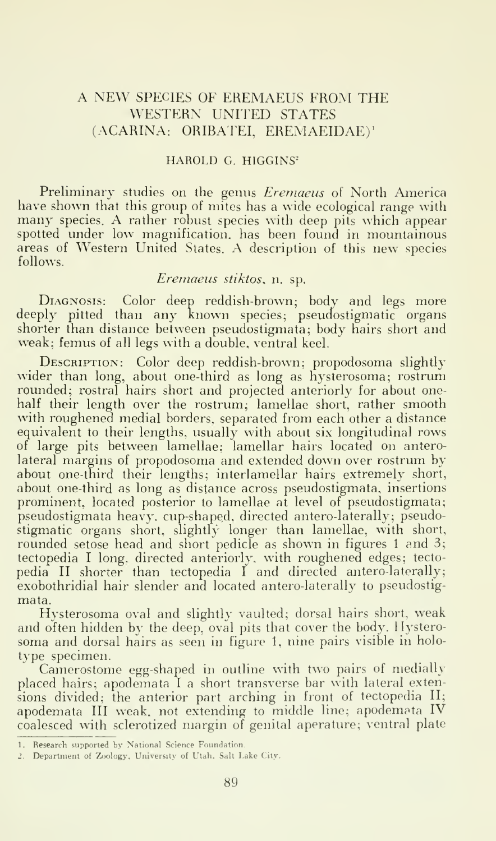### A NEW SPECIES OF EREMAEUS FROM THE WESTERN UNITED STATES (ACARINA: ORIBATEI, EREMAEIDAE)'

#### HAROLD G. HIGGINS^

Preliminary studies on the genus *Eremaeus* of North America have shown that this group of mites has a wide ecological range with many species. A rather robust species with deep pits which appear spotted under low magnification, has been found in mountainous areas of Western United States. A description of this new species follows.

#### Eremaeus stiktos, n. sp.

DIAGNOSIS: Color deep reddish-brown; body and legs more deeply pitted than any known species; pseudostigmatic organs shorter than distance between pseudostigmata; body hairs short and weak; femus of all legs with a double, ventral keel.

Description: Color deep reddish-brown; propodosoma slightly wider than long, about one-third as long as hysterosoma; rostrum rounded; rostral hairs short and projected anteriorly for about onehalf their length over the rostrum; lamellae short, rather smooth with roughened medial borders, separated from each other a distance equivalent to their lengths, usually with about six longitudinal rows of large pits between lamellae; lamellar hairs located on anterolateral margins of propodosoma and extended down over rostrum by about one-third their lengths; interlamellar hairs extremely short, about one-third as long as distance across pseudostigmata, insertions prominent, located posterior to lamellae at level of pseudostigmata; pseudostigmata heavy, cup-shaped, directed antero-laterally; pseudostigmatic organs short, slightly longer than lamellae, with short, rounded setose head and short pedicle as shown in figures 1 and 3; tectopedia <sup>I</sup> long, directed anteriorly, with roughened edges; tecto pedia II shorter than tectopedia <sup>I</sup> and directed antero-laterally; exobothridial hair slender and located antero-laterally to pseudostigmata.

Hysterosoma oval and slightly vaulted; dorsal hairs short, weak and often hidden by the deep, oval pits that cover the body. Hysterosoma and dorsal hairs as seen in figure 1, nine pairs visible in holo type specimen.

Camerostome egg-shaped in outline with two pairs of medially placed hairs; apodemata I a short transverse bar with lateral extensions divided; the anterior part arching in front of tectopedia II; apodemata III weak, not extending to middle line; apodemata IV coalesced with sclerotized margin of genital aperature; ventral plate

<sup>1.</sup> Research supported by National Science Foundation.

<sup>2.</sup> Department of Zoology, University of Utah. Salt Lake City.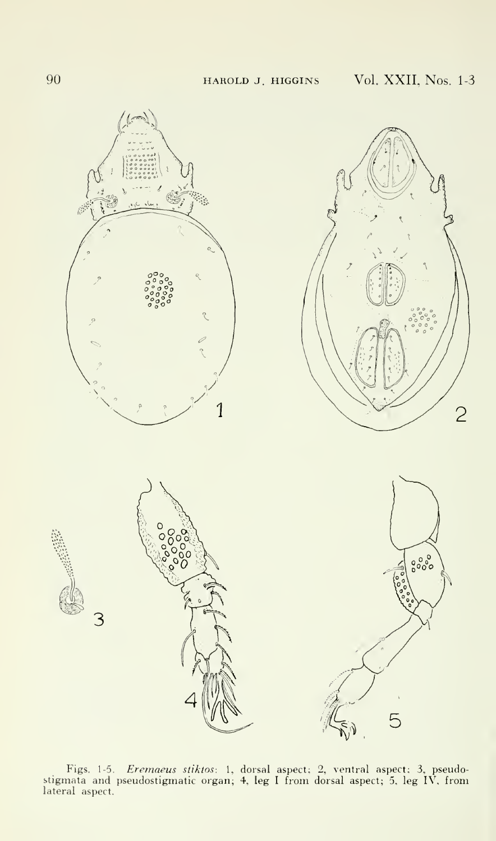

Figs. 1-5*. Eremaeus stiktos*: 1, dorsal aspect; 2, ventral aspect; 3, pseudostigmata and pseudostigmatic organ; 4, leg I from dorsal aspect; 5, leg IV, from<br>lateral aspect.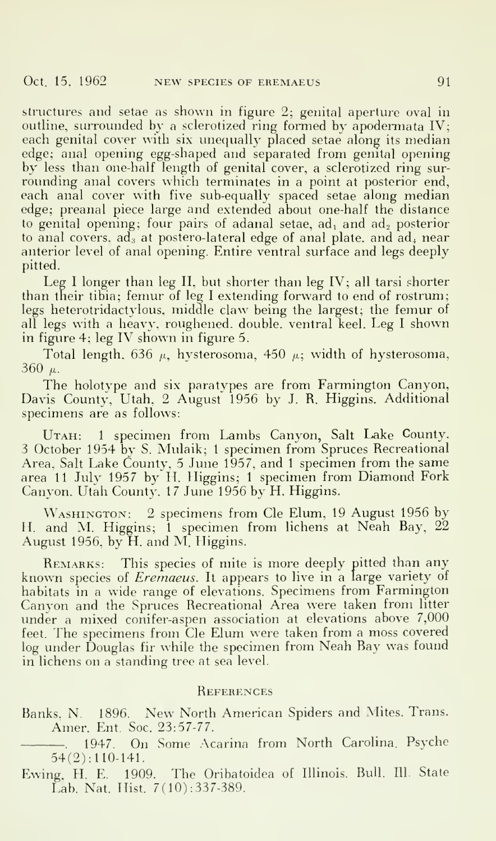structures and setae as shown in figure 2; genital aperture oval in outline, surrounded by a sclerotized ring formed by apodermata IV; each genital cover with six unequally placed setae along its median edge; anal opening egg-shaped and separated from genital opening by less than one-half length of genital cover, a sclerotized ring sur rounding anal covers which terminates in a point at posterior end, each anal cover with five sub-equally spaced setae along median edge; preanal piece large and extended about one-half the distance to genital opening; four pairs of adanal setae,  $ad_1$  and  $ad_2$  posterior to anal covers,  $ad<sub>3</sub>$  at postero-lateral edge of anal plate, and  $ad<sub>4</sub>$  near anterior level of anal opening. Entire ventral surface and legs deeply pitted.

Leg <sup>I</sup> longer than leg II, but shorter than leg IV; all tarsi shorter than their tibia; femur of leg <sup>I</sup> extending forward to end of rostrum; legs heterotridactylous, middle claw being the largest; the femur of all legs with <sup>a</sup> heavy, roughened, double, ventral keel. Leg <sup>I</sup> shown in figure 4; leg IV shown in figure 5.

Total length, 636  $\mu$ , hysterosoma, 450  $\mu$ ; width of hysterosoma, 360  $\mu$ .

The holotype and six paratypes are from Farmington Canyon, Davis County. Utah, 2 August 1956 by J. R. Higgins. Additional specimens are as follows:

Uтлн: 1 specimen from Lambs Canyon, Salt Lake County. — 3 October 1954 by S. Mulaik; <sup>1</sup> specimen from Spruces Recreational Area. Salt Lake County, <sup>5</sup> June 1957, and <sup>1</sup> specimen from the same area 11 July 1957 by H. Higgins; 1 specimen from Diamond Fork Canyon. Utah County. 17 June 1956 by H. Higgins.

WASHINGTON: 2 specimens from Cle Elum, 19 August 1956 by H. and M. Higgins; 1 specimen from lichens at Neah Bay, 22 August 1956, by H. and M. Higgins.

REMARKS: This species of mite is more deeply pitted than any known species of *Eremaeus*. It appears to live in a large variety of habitats in <sup>a</sup> wide range of elevations. Specimens from Farmington (Canyon and the Spruces Recreational Area were taken from litter under a mixed conifer-aspen association at elevations above 7,000 feet. The specimens from Cle Elum were taken from <sup>a</sup> moss covered log under Douglas fir while the specimen from Neah Bay was found in lichens on a standing tree at sea level.

#### **REFERENCES**

Banks. N. 1896. New North American Spiders and Mites. Trans. Amer. Ent. Soc. 23:57-77.

. 1947. On Some Acarina from North Carolina. Psyche 54(2):110-141.

Ewing. H. E. 1909. The Oribatoidea of Illinois. Bull. 111. State Lab. Nat. Hist. 7(10) :337-389.